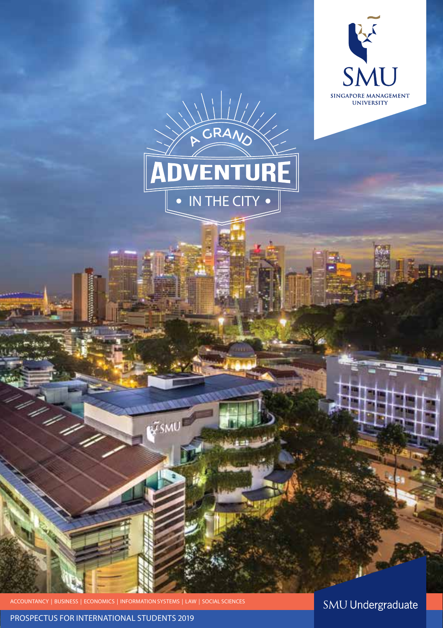

PROSPECTUS FOR INTERNATIONAL STUDENTS 2019

**SMU Undergraduate**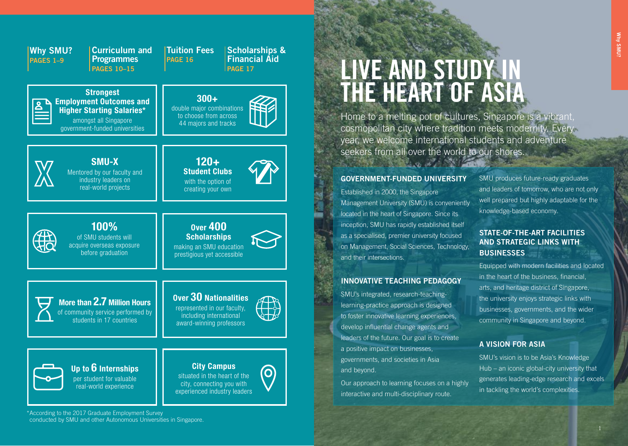| <b>Curriculum and</b>                                                                                                                             | <b>Tuition Fees</b>                                                                                         |
|---------------------------------------------------------------------------------------------------------------------------------------------------|-------------------------------------------------------------------------------------------------------------|
| <b>Why SMU?</b>                                                                                                                                   | <b>Scholarships &amp;</b>                                                                                   |
| <b>Programmes</b>                                                                                                                                 | <b>Financial Aid</b>                                                                                        |
| <b>PAGES 1-9</b>                                                                                                                                  | <b>PAGE 16</b>                                                                                              |
| <b>PAGES 10-15</b>                                                                                                                                | <b>PAGE 17</b>                                                                                              |
| <b>Strongest</b><br><b>Employment Outcomes and</b><br><b>Higher Starting Salaries*</b><br>amongst all Singapore<br>government-funded universities | $300+$<br>double major combinations<br>to choose from across<br>44 majors and tracks                        |
| <b>SMU-X</b>                                                                                                                                      | $120 +$                                                                                                     |
| Mentored by our faculty and                                                                                                                       | <b>Student Clubs</b>                                                                                        |
| industry leaders on                                                                                                                               | with the option of                                                                                          |
| real-world projects                                                                                                                               | creating your own                                                                                           |
| 100%                                                                                                                                              | <b>Over 400</b>                                                                                             |
| of SMU students will                                                                                                                              | <b>Scholarships</b>                                                                                         |
| acquire overseas exposure                                                                                                                         | making an SMU education                                                                                     |
| before graduation                                                                                                                                 | prestigious yet accessible                                                                                  |
| More than 2.7 Million Hours<br>of community service performed by<br>students in 17 countries                                                      | Over 30 Nationalities<br>represented in our faculty,<br>including international<br>award-winning professors |
| Up to $6$ Internships                                                                                                                             | <b>City Campus</b>                                                                                          |
| per student for valuable                                                                                                                          | situated in the heart of the                                                                                |
| real-world experience                                                                                                                             | city, connecting you with                                                                                   |
| cording to the 2017 Creducto Employment Curve                                                                                                     | experienced industry leaders                                                                                |

# **LIVE AND STUDY IN THE HEART OF ASIA**

Home to a melting pot of cultures, Singapore is a vibrant, cosmopolitan city where tradition meets modernity. Every year, we welcome international students and adventure seekers from all over the world to our shores.

#### **GOVERNMENT-FUNDED UNIVERSITY**

Established in 2000, the Singapore Management University (SMU) is conveniently located in the heart of Singapore. Since its inception, SMU has rapidly established itself as a specialised, premier university focused on Management, Social Sciences, Technology, and their intersections.

### **INNOVATIVE TEACHING PEDAGOGY**

SMU's integrated, research-teachinglearning-practice approach is designed to foster innovative learning experiences, develop influential change agents and leaders of the future. Our goal is to create a positive impact on businesses, governments, and societies in Asia and beyond.

Our approach to learning focuses on a highly interactive and multi-disciplinary route.

SMU produces future-ready graduates and leaders of tomorrow, who are not only well prepared but highly adaptable for the knowledge-based economy.

### **STATE-OF-THE-ART FACILITIES AND STRATEGIC LINKS WITH BUSINESSES**

Equipped with modern facilities and located in the heart of the business, financial, arts, and heritage district of Singapore, the university enjoys strategic links with businesses, governments, and the wider community in Singapore and beyond.

### **A VISION FOR ASIA**

SMU's vision is to be Asia's Knowledge Hub – an iconic global-city university that generates leading-edge research and excels in tackling the world's complexities.

\*According to the 2017 Graduate Employment Survey conducted by SMU and other Autonomous Universities in Singapore.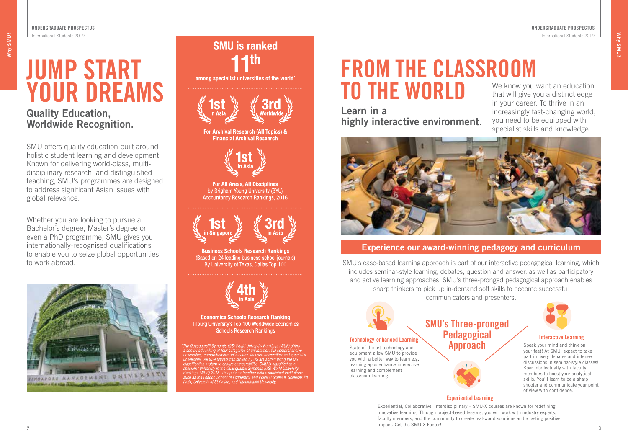# **JUMP START YOUR DREAMS**

# **Quality Education, Worldwide Recognition.**

**UNDERGRADUATE PROSPECTUS**  International Students 2019

SMU offers quality education built around holistic student learning and development. Known for delivering world-class, multidisciplinary research, and distinguished teaching, SMU's programmes are designed to address significant Asian issues with global relevance.

Whether you are looking to pursue a Bachelor's degree, Master's degree or even a PhD programme, SMU gives you internationally-recognised qualifications to enable you to seize global opportunities to work abroad.



# **SMU is ranked** among specialist universities of the world'



For Archival Research (All Topics) & **Financial Archival Research** 



**For All Areas, All Disciplines** by Brigham Young University (BYU) **Accountancy Research Rankings, 2016** 



**Business Schools Research Rankings** (Based on 24 leading business school journals) By University of Texas, Dallas Top 100



**Economics Schools Research Ranking** Tilburg University's Top 100 Worldwide Economics **Schools Research Rankings** 

The Quacquarelli Symonds (QS) World University Rankings (WUR) offers The Quacquarelli Symonds (QS) World University Rankings (WUR) offers<br>a combined ranking of four categories of universities; full comprehensive<br>universities, comprehensive universities, focused universities and specialist<br>u

# **FROM THE CLASSROOM TO THE WORLD**

**Learn in a highly interactive environment.** 

We know you want an education that will give you a distinct edge in your career. To thrive in an increasingly fast-changing world, you need to be equipped with specialist skills and knowledge.



### **Experience our award-winning pedagogy and curriculum**

SMU's case-based learning approach is part of our interactive pedagogical learning, which includes seminar-style learning, debates, question and answer, as well as participatory and active learning approaches. SMU's three-pronged pedagogical approach enables sharp thinkers to pick up in-demand soft skills to become successful communicators and presenters.

> **SMU's Three-pronged Pedagogical Approach**



#### **Technology-enhanced Learning**

State-of-the-art technology and equipment allow SMU to provide you with a better way to learn e.g. learning apps enhance interactive learning and complement classroom learning.

#### **Interactive Learning**

Speak your mind and think on your feet! At SMU, expect to take part in lively debates and intense discussions in seminar-style classes! Spar intellectually with faculty members to boost your analytical skills. You'll learn to be a sharp shooter and communicate your point of view with confidence.

**Experiential Learning**

Experiential, Collaborative, Interdisciplinary – SMU-X courses are known for redefining innovative learning. Through project-based lessons, you will work with industry experts, faculty members, and the community to create real-world solutions and a lasting positive impact. Get the SMU-X Factor!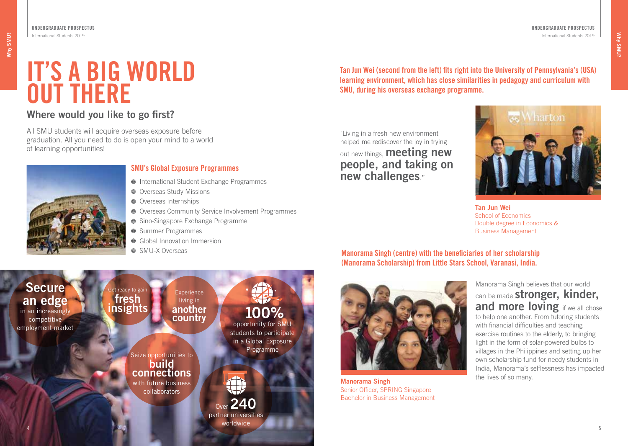# **IT'S A BIG WORLD OUT THERE**

# **Where would you like to go first?**

All SMU students will acquire overseas exposure before graduation. All you need to do is open your mind to a world of learning opportunities!



**UNDERGRADUATE PROSPECTUS**  International Students 2019

### **SMU's Global Exposure Programmes**

- International Student Exchange Programmes
- $\bullet$  Overseas Study Missions
- **Overseas Internships**
- Overseas Community Service Involvement Programmes
- Sino-Singapore Exchange Programme
- Summer Programmes
- **Global Innovation Immersion**
- SMU-X Overseas



**Tan Jun Wei (second from the left) fits right into the University of Pennsylvania's (USA) learning environment, which has close similarities in pedagogy and curriculum with SMU, during his overseas exchange programme.** 

"Living in a fresh new environment helped me rediscover the joy in trying out new things, **meeting new people, and taking on new challenges**."



**Tan Jun Wei**  School of Economics Double degree in Economics & Business Management

## **Manorama Singh (centre) with the beneficiaries of her scholarship (Manorama Scholarship) from Little Stars School, Varanasi, India.**



**Manorama Singh Manorama Singh Manorama Singh Manorama Singh Manorama Singh** Senior Officer, SPRING Singapore Bachelor in Business Management

Manorama Singh believes that our world can be made **stronger, kinder, and more loving** if we all chose to help one another. From tutoring students with financial difficulties and teaching exercise routines to the elderly, to bringing light in the form of solar-powered bulbs to villages in the Philippines and setting up her own scholarship fund for needy students in India, Manorama's selflessness has impacted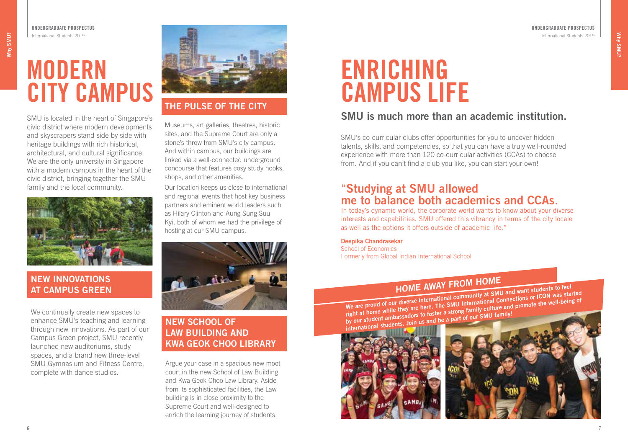**UNDERGRADUATE PROSPECTUS**  International Students 2019

# **MODERN CITY CAMPUS**

SMU is located in the heart of Singapore's civic district where modern developments and skyscrapers stand side by side with heritage buildings with rich historical, architectural, and cultural significance. We are the only university in Singapore with a modern campus in the heart of the civic district, bringing together the SMU family and the local community.



## **NEW INNOVATIONS AT CAMPUS GREEN**

We continually create new spaces to enhance SMU's teaching and learning through new innovations. As part of our Campus Green project, SMU recently launched new auditoriums, study spaces, and a brand new three-level SMU Gymnasium and Fitness Centre, complete with dance studios.



# **THE PULSE OF THE CITY**

Museums, art galleries, theatres, historic sites, and the Supreme Court are only a stone's throw from SMU's city campus. And within campus, our buildings are linked via a well-connected underground concourse that features cosy study nooks, shops, and other amenities.

Our location keeps us close to international and regional events that host key business partners and eminent world leaders such as Hilary Clinton and Aung Sung Suu Kyi, both of whom we had the privilege of hosting at our SMU campus.



# **NEW SCHOOL OF LAW BUILDING AND KWA GEOK CHOO LIBRARY**

Argue your case in a spacious new moot court in the new School of Law Building and Kwa Geok Choo Law Library. Aside from its sophisticated facilities, the Law building is in close proximity to the Supreme Court and well-designed to enrich the learning journey of students.

# **ENRICHING CAMPUS LIFE**

# **SMU is much more than an academic institution.**

SMU's co-curricular clubs offer opportunities for you to uncover hidden talents, skills, and competencies, so that you can have a truly well-rounded experience with more than 120 co-curricular activities (CCAs) to choose from. And if you can't find a club you like, you can start your own!

# "**Studying at SMU allowed me to balance both academics and CCAs**.

In today's dynamic world, the corporate world wants to know about your diverse interests and capabilities. SMU offered this vibrancy in terms of the city locale as well as the options it offers outside of academic life."

### **Deepika Chandrasekar**

School of Economics Formerly from Global Indian International School

# **HOME AWAY FROM HOME**

**We are proud of our diverse international community at SMU and want students to feel right at home while they are here. The SMU International Connections or ICON was started** by our student ambassadors to foster a strong family culture and promote the well-being of by our student ambassadors to foster a strong family culture and promote the well-being of

**international students. Join us and be a part of our SMU family!** 



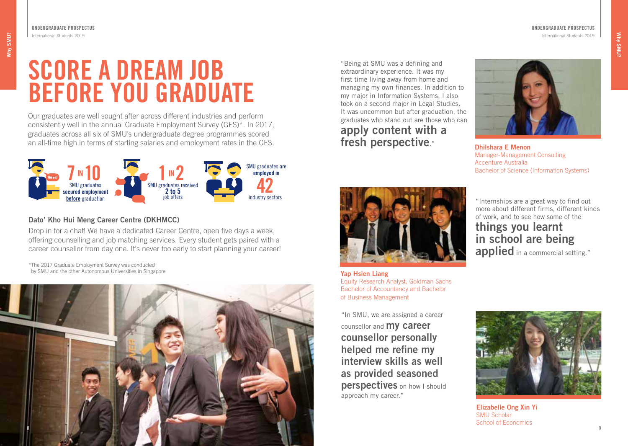**UNDERGRADUATE PROSPECTUS**  International Students 2019

# **SCORE A DREAM JOB BEFORE YOU GRADUATE**

Our graduates are well sought after across different industries and perform consistently well in the annual Graduate Employment Survey (GES)\*. In 2017, graduates across all six of SMU's undergraduate degree programmes scored an all-time high in terms of starting salaries and employment rates in the GES.



### **Dato' Kho Hui Meng Career Centre (DKHMCC)**

Drop in for a chat! We have a dedicated Career Centre, open five days a week, offering counselling and job matching services. Every student gets paired with a career counsellor from day one. It's never too early to start planning your career!

\*The 2017 Graduate Employment Survey was conducted by SMU and the other Autonomous Universities in Singapore



"Being at SMU was a defining and extraordinary experience. It was my first time living away from home and managing my own finances. In addition to my major in Information Systems, I also took on a second major in Legal Studies. It was uncommon but after graduation, the graduates who stand out are those who can **apply content with a fresh perspective**." **Dhilshara E Menon** 



Manager-Management Consulting Accenture Australia Bachelor of Science (Information Systems)



**Yap Hsien Liang**  Equity Research Analyst, Goldman Sachs Bachelor of Accountancy and Bachelor of Business Management

"In SMU, we are assigned a career counsellor and **my career counsellor personally helped me refine my interview skills as well as provided seasoned perspectives** on how I should approach my career."

more about different firms, different kinds of work, and to see how some of the

# **things you learnt in school are being applied** in a commercial setting."



**Elizabelle Ong Xin Yi** SMU Scholar School of Economics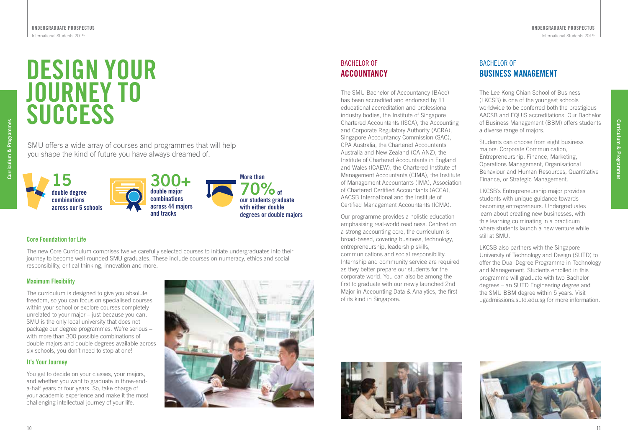# **DESIGN YOUR JOURNEY TO SUCCESS**

SMU offers a wide array of courses and programmes that will help you shape the kind of future you have always dreamed of.



### **Core Foundation for Life**

The new Core Curriculum comprises twelve carefully selected courses to initiate undergraduates into their journey to become well-rounded SMU graduates. These include courses on numeracy, ethics and social responsibility, critical thinking, innovation and more.

#### **Maximum Flexibility**

The curriculum is designed to give you absolute freedom, so you can focus on specialised courses within your school or explore courses completely unrelated to your major – just because you can. SMU is the only local university that does not package our degree programmes. We're serious – with more than 300 possible combinations of double majors and double degrees available across six schools, you don't need to stop at one!

#### **It's Your Journey**

You get to decide on your classes, your majors, and whether you want to graduate in three-anda-half years or four years. So, take charge of your academic experience and make it the most challenging intellectual journey of your life.



## BACHELOR OF **ACCOUNTANCY**

The SMU Bachelor of Accountancy (BAcc) has been accredited and endorsed by 11 educational accreditation and professional industry bodies, the Institute of Singapore Chartered Accountants (ISCA), the Accounting and Corporate Regulatory Authority (ACRA), Singapore Accountancy Commission (SAC), CPA Australia, the Chartered Accountants Australia and New Zealand (CA ANZ), the Institute of Chartered Accountants in England and Wales (ICAEW), the Chartered Institute of Management Accountants (CIMA), the Institute of Management Accountants (IMA), Association of Chartered Certified Accountants (ACCA), AACSB International and the Institute of Certified Management Accountants (ICMA).

Our programme provides a holistic education emphasising real-world readiness. Centred on a strong accounting core, the curriculum is broad-based, covering business, technology, entrepreneurship, leadership skills communications and social responsibility. Internship and community service are required as they better prepare our students for the corporate world. You can also be among the first to graduate with our newly launched 2nd Major in Accounting Data & Analytics, the first of its kind in Singapore.

# BACHELOR OF **BUSINESS MANAGEMENT**

The Lee Kong Chian School of Business (LKCSB) is one of the youngest schools worldwide to be conferred both the prestigious AACSB and EQUIS accreditations. Our Bachelor of Business Management (BBM) offers students a diverse range of majors.

Students can choose from eight business majors: Corporate Communication, Entrepreneurship, Finance, Marketing, Operations Management, Organisational Behaviour and Human Resources, Quantitative Finance, or Strategic Management.

LKCSB's Entrepreneurship major provides students with unique guidance towards becoming entrepreneurs. Undergraduates learn about creating new businesses, with this learning culminating in a practicum where students launch a new venture while still at SMU.

LKCSB also partners with the Singapore University of Technology and Design (SUTD) to offer the Dual Degree Programme in Technology and Management. Students enrolled in this programme will graduate with two Bachelor degrees – an SUTD Engineering degree and the SMU BBM degree within 5 years. Visit ugadmissions.sutd.edu.sg for more information.





**Curriculum & Programmes**

Curriculum & Programme: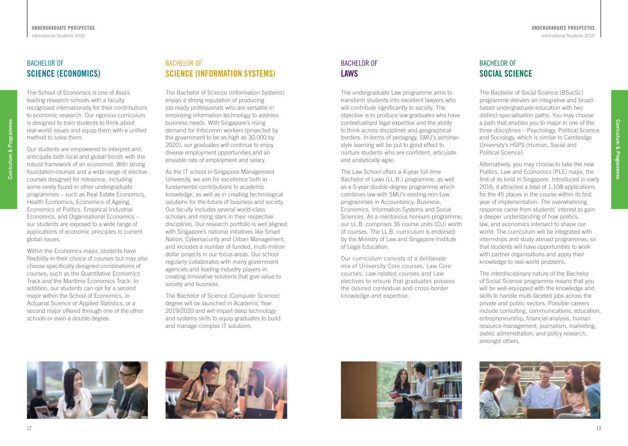## BACHELOR OF **SCIENCE (ECONOMICS)**

The School of Economics is one of Asia's leading research schools with a faculty recognised internationally for their contributions to economic research. Our rigorous curriculum is designed to train students to think about real-world issues and equip them with a unified method to solve them.

Curriculum & Programmes **Curriculum & Programmes**

Our students are empowered to interpret and anticipate both local and global trends with the robust framework of an economist. With strong foundation courses and a wide range of elective courses designed for relevance, including some rarely found in other undergraduate programmes – such as Real Estate Economics, Health Economics, Economics of Ageing, Economics of Politics, Empirical Industrial Economics, and Organisational Economics – our students are exposed to a wide range of applications of economic principles to current global issues.

Within the Economics major, students have flexibility in their choice of courses but may also choose specifically designed combinations of courses, such as the Quantitative Economics Track and the Maritime Economics Track. In addition, our students can opt for a second major within the School of Economics, in Actuarial Science or Applied Statistics, or a second major offered through one of the other schools or even a double degree.

## BACHELOR OF **SCIENCE (INFORMATION SYSTEMS)**

The Bachelor of Science (Information Systems) enjoys a strong reputation of producing job-ready professionals who are versatile in employing information technology to address business needs. With Singapore's rising demand for Infocomm workers (projected by the government to be as high as 30,000 by 2020), our graduates will continue to enjoy diverse employment opportunities and an enviable rate of employment and salary.

As the IT school in Singapore Management University, we aim for excellence both in fundamental contributions to academic knowledge, as well as in creating technological solutions for the future of business and society. Our faculty includes several world-class scholars and rising stars in their respective disciplines. Our research portfolio is well aligned with Singapore's national initiatives like Smart Nation, Cybersecurity and Urban Management, and includes a number of funded, multi-million dollar projects in our focus areas. Our school regularly collaborates with many government agencies and leading industry players in creating innovative solutions that give value to society and business.

The Bachelor of Science (Computer Science) degree will be launched in Academic Year 2019/2020 and will impart deep technology and systems skills to equip graduates to build and manage complex IT solutions.

# BACHELOR OF **LAWS**

The undergraduate Law programme aims to transform students into excellent lawyers who will contribute significantly to society. The objective is to produce law graduates who have contextualised legal expertise and the ability to think across disciplines and geographical borders. In terms of pedagogy, SMU's seminarstyle learning will be put to good effect to nurture students who are confident, articulate and analytically agile.

The Law School offers a 4-year full-time Bachelor of Laws (LL.B.) programme, as well as a 5-year double-degree programme which combines law with SMU's existing non-Law programmes in Accountancy, Business, Economics, Information Systems and Social Sciences. As a meritorious honours programme, our LL.B. comprises 36 course units (CU) worth of courses. The LL.B. curriculum is endorsed by the Ministry of Law and Singapore Institute of Legal Education.

Our curriculum consists of a deliberate mix of University Core courses, Law Core courses, Law-related courses and Law electives to ensure that graduates possess the desired contextual and cross-border knowledge and expertise.

# BACHELOR OF **SOCIAL SCIENCE**

The Bachelor of Social Science (BSocSc) programme delivers an integrative and broadbased undergraduate education with two distinct specialisation paths. You may choose a path that enables you to major in one of the three disciplines – Psychology, Political Science and Sociology, which is similar to Cambridge University's HSPS (Human, Social and Political Science).

Alternatively, you may choose to take the new Politics, Law and Economics (PLE) major, the first of its kind in Singapore. Introduced in early 2016, it attracted a total of 1,108 applications for the 45 places in the course within its first year of implementation. The overwhelming response came from students' interest to gain a deeper understanding of how politics, law, and economics intersect to shape our world. The curriculum will be integrated with internships and study abroad programmes, so that students will have opportunities to work with partner organisations and apply their knowledge to real-world problems.

The interdisciplinary nature of the Bachelor of Social Science programme means that you will be well-equipped with the knowledge and skills to handle multi-faceted jobs across the private and public sectors. Possible careers include consulting, communications, education, entrepreneurship, financial analysis, human resource management, journalism, marketing, public administration, and policy research, amongst others.









**Curriculum & Programmes**

Curriculum & Programme: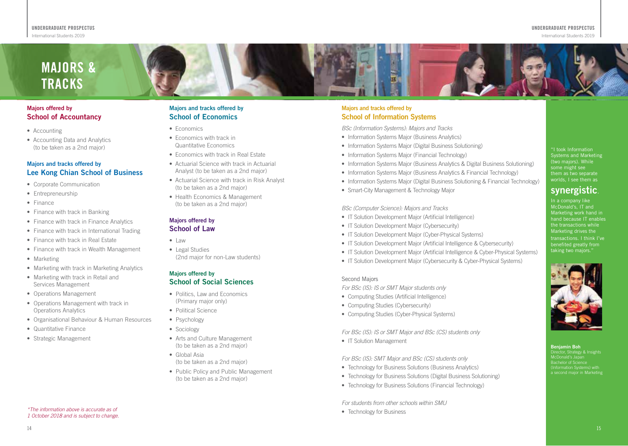# **MAJORS & TRACKS**

#### **Majors offered by School of Accountancy**

- Accounting
- Accounting Data and Analytics (to be taken as a 2nd major)

#### **Majors and tracks offered by Lee Kong Chian School of Business**

- Corporate Communication
- Entrepreneurship
- Finance
- Finance with track in Banking
- Finance with track in Finance Analytics
- Finance with track in International Trading
- Finance with track in Real Estate
- Finance with track in Wealth Management
- Marketing
- Marketing with track in Marketing Analytics
- Marketing with track in Retail and Services Management
- Operations Management
- Operations Management with track in Operations Analytics
- Organisational Behaviour & Human Resources
- Quantitative Finance
- Strategic Management

#### **Majors and tracks offered by School of Economics**

- Economics
- Economics with track in Quantitative Economics
- Economics with track in Real Estate
- Actuarial Science with track in Actuarial Analyst (to be taken as a 2nd major)
- Actuarial Science with track in Risk Analyst (to be taken as a 2nd major)
- Health Economics & Management (to be taken as a 2nd major)

#### **Majors offered by School of Law**

- Law
- Legal Studies
- (2nd major for non-Law students)

#### **Majors offered by School of Social Sciences**

- Politics, Law and Economics (Primary major only)
- Political Science
- Psychology
- Sociology
- Arts and Culture Management (to be taken as a 2nd major)
- Global Asia (to be taken as a 2nd major)
- Public Policy and Public Management (to be taken as a 2nd major)

### **Majors and tracks offered by School of Information Systems**

*BSc (Information Systems): Majors and Tracks* 

- Information Systems Major (Business Analytics)
- Information Systems Major (Digital Business Solutioning)
- Information Systems Major (Financial Technology)
- Information Systems Major (Business Analytics & Digital Business Solutioning)
- Information Systems Major (Business Analytics & Financial Technology)
- Information Systems Major (Digital Business Solutioning & Financial Technology)
- Smart-City Management & Technology Major

#### *BSc (Computer Science): Majors and Tracks*

- IT Solution Development Major (Artificial Intelligence)
- IT Solution Development Major (Cybersecurity)
- IT Solution Development Major (Cyber-Physical Systems)
- IT Solution Development Major (Artificial Intelligence & Cybersecurity)
- IT Solution Development Major (Artificial Intelligence & Cyber-Physical Systems)
- IT Solution Development Major (Cybersecurity & Cyber-Physical Systems)

#### Second Majors

*For BSc (IS): IS or SMT Major students only*

- Computing Studies (Artificial Intelligence)
- Computing Studies (Cybersecurity)
- Computing Studies (Cyber-Physical Systems)

*For BSc (IS): IS or SMT Major and BSc (CS) students only*

• IT Solution Management

*For BSc (IS): SMT Major and BSc (CS) students only*

- Technology for Business Solutions (Business Analytics)
- Technology for Business Solutions (Digital Business Solutioning)
- Technology for Business Solutions (Financial Technology)

*For students from other schools within SMU* 

• Technology for Business

"I took Information Systems and Marketing (two majors). While some might see them as two separate worlds, I see them as

# **synergistic**.

In a company like McDonald's, IT and Marketing work hand in hand because IT enables the transactions while Marketing drives the transactions. I think I've benefited greatly from taking two majors."



**Benjamin Boh** Director, Strategy & Insights McDonald's Japan Bachelor of Science (Information Systems) with a second major in Marketing

*\*The information above is accurate as of 1 October 2018 and is subject to change.*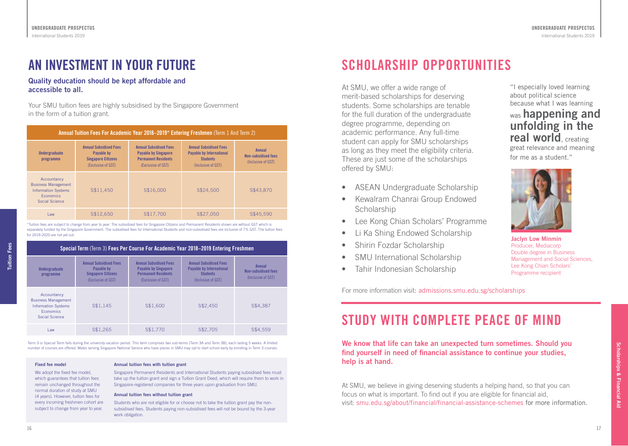# **AN INVESTMENT IN YOUR FUTURE**

### **Quality education should be kept affordable and accessible to all.**

Your SMU tuition fees are highly subsidised by the Singapore Government in the form of a tuition grant.

| Annual Tuition Fees For Academic Year 2018–2019* Entering Freshmen (Term 1 And Term 2)                        |                                                                                                       |                                                                                                                  |                                                                                                           |                                                            |  |
|---------------------------------------------------------------------------------------------------------------|-------------------------------------------------------------------------------------------------------|------------------------------------------------------------------------------------------------------------------|-----------------------------------------------------------------------------------------------------------|------------------------------------------------------------|--|
| <b>Undergraduate</b><br>programme                                                                             | <b>Annual Subsidised Fees</b><br><b>Pavable by</b><br><b>Singapore Citizens</b><br>(Exclusive of GST) | <b>Annual Subsidised Fees</b><br><b>Payable by Singapore</b><br><b>Permanent Residents</b><br>(Exclusive of GST) | <b>Annual Subsidised Fees</b><br><b>Payable by International</b><br><b>Students</b><br>(Inclusive of GST) | Annual<br><b>Non-subsidised fees</b><br>(Inclusive of GST) |  |
| Accountancy<br><b>Business Management</b><br><b>Information Systems</b><br><b>Economics</b><br>Social Science | S\$11.450                                                                                             | S\$16,000                                                                                                        | S\$24,500                                                                                                 | S\$43,870                                                  |  |
| I aw                                                                                                          | S\$12,650                                                                                             | S\$17,700                                                                                                        | S\$27,050                                                                                                 | S\$45.590                                                  |  |

\*Tuition fees are subject to change from year to year. The subsidised fees for Singapore Citizens and Permanent Residents shown are without GST which is separately funded by the Singapore Government. The subsidised fees for International Students and non-subsidised fees are inclusive of 7% GST. The tuition fees for 2019-2020 are not yet out.

| Special Term (Term 3) Fees Per Course For Academic Year 2018–2019 Entering Freshmen                           |                                                                                                |                                                                                                                  |                                                                                                           |                                                            |  |
|---------------------------------------------------------------------------------------------------------------|------------------------------------------------------------------------------------------------|------------------------------------------------------------------------------------------------------------------|-----------------------------------------------------------------------------------------------------------|------------------------------------------------------------|--|
| <b>Undergraduate</b><br>programme                                                                             | <b>Annual Subsidised Fees</b><br>Pavable by<br><b>Singapore Citizens</b><br>(Exclusive of GST) | <b>Annual Subsidised Fees</b><br><b>Payable by Singapore</b><br><b>Permanent Residents</b><br>(Exclusive of GST) | <b>Annual Subsidised Fees</b><br><b>Payable by International</b><br><b>Students</b><br>(Inclusive of GST) | Annual<br><b>Non-subsidised fees</b><br>(Inclusive of GST) |  |
| Accountancy<br><b>Business Management</b><br><b>Information Systems</b><br><b>Economics</b><br>Social Science | S\$1.145                                                                                       | S\$1,600                                                                                                         | S\$2,450                                                                                                  | S\$4.387                                                   |  |
| Law                                                                                                           | S\$1,265                                                                                       | S\$1,770                                                                                                         | S\$2.705                                                                                                  | S\$4.559                                                   |  |

Term 3 or Special Term falls during the university vacation period. This term comprises two sub-terms (Term 3A and Term 3B), each lasting 5 weeks. A limited number of courses are offered. Males serving Singapore National Service who have places in SMU may opt to start school early by enrolling in Term 3 courses.

#### **Fixed fee model**

We adopt the fixed fee model. which guarantees that tuition fees remain unchanged throughout the normal duration of study at SMU (4 years). However, tuition fees for every incoming freshmen cohort are subject to change from year to year.

#### **Annual tuition fees with tuition grant**

Singapore Permanent Residents and International Students paying subsidised fees must take up the tuition grant and sign a Tuition Grant Deed, which will require them to work in Singapore-registered companies for three years upon graduation from SMU.

#### **Annual tuition fees without tuition grant**

Students who are not eligible for or choose not to take the tuition grant pay the nonsubsidised fees. Students paying non-subsidised fees will not be bound by the 3-year work obligation.

# **SCHOLARSHIP OPPORTUNITIES**

At SMU, we offer a wide range of merit-based scholarships for deserving students. Some scholarships are tenable for the full duration of the undergraduate degree programme, depending on academic performance. Any full-time student can apply for SMU scholarships as long as they meet the eligibility criteria. These are just some of the scholarships offered by SMU:

- ASEAN Undergraduate Scholarship
- Kewalram Chanrai Group Endowed **Scholarship**
- Lee Kong Chian Scholars' Programme
- Li Ka Shing Endowed Scholarship
- Shirin Fozdar Scholarship
- SMU International Scholarship
- Tahir Indonesian Scholarship

For more information visit: admissions.smu.edu.sg/scholarships

"I especially loved learning about political science because what I was learning was **happening and unfolding in the real world**, creating great relevance and meaning

for me as a student."



**Jaclyn Low Minmin**  Producer, Mediacorp Double degree in Business Management and Social Sciences, Lee Kong Chian Scholars' Programme recipient

**Scholarships & Financial Aid**

Scholarships & Financial Aic

# **STUDY WITH COMPLETE PEACE OF MIND**

**We know that life can take an unexpected turn sometimes. Should you find yourself in need of financial assistance to continue your studies, help is at hand.**

At SMU, we believe in giving deserving students a helping hand, so that you can focus on what is important. To find out if you are eligible for financial aid, visit: smu.edu.sg/about/financial/financial-assistance-schemes for more information.

**Tuition Fees**

**Tuition Fees**